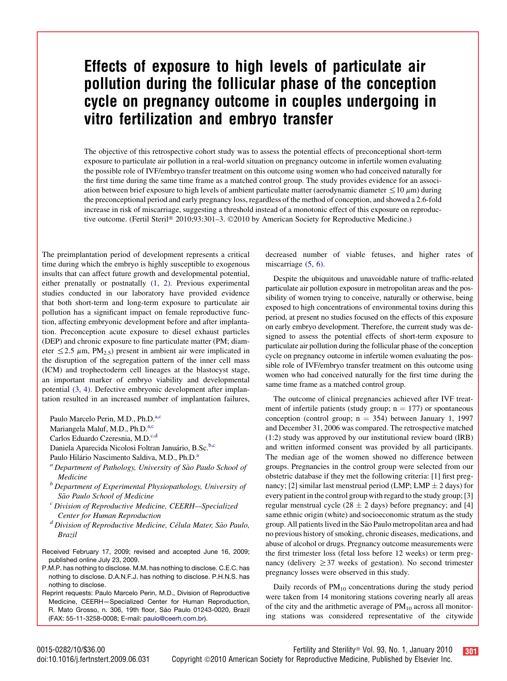## Effects of exposure to high levels of particulate air pollution during the follicular phase of the conception cycle on pregnancy outcome in couples undergoing in vitro fertilization and embryo transfer

The objective of this retrospective cohort study was to assess the potential effects of preconceptional short-term exposure to particulate air pollution in a real-world situation on pregnancy outcome in infertile women evaluating the possible role of IVF/embryo transfer treatment on this outcome using women who had conceived naturally for the first time during the same time frame as a matched control group. The study provides evidence for an association between brief exposure to high levels of ambient particulate matter (aerodynamic diameter  $\leq 10 \mu m$ ) during the preconceptional period and early pregnancy loss, regardless of the method of conception, and showed a 2.6-fold increase in risk of miscarriage, suggesting a threshold instead of a monotonic effect of this exposure on reproductive outcome. (Fertil Steril® 2010;93:301–3. ©2010 by American Society for Reproductive Medicine.)

The preimplantation period of development represents a critical time during which the embryo is highly susceptible to exogenous insults that can affect future growth and developmental potential, either prenatally or postnatally [\(1, 2\).](#page-2-0) Previous experimental studies conducted in our laboratory have provided evidence that both short-term and long-term exposure to particulate air pollution has a significant impact on female reproductive function, affecting embryonic development before and after implantation. Preconception acute exposure to diesel exhaust particles (DEP) and chronic exposure to fine particulate matter (PM; diameter  $\leq$  2.5  $\mu$ m, PM<sub>2.5</sub>) present in ambient air were implicated in the disruption of the segregation pattern of the inner cell mass (ICM) and trophectoderm cell lineages at the blastocyst stage, an important marker of embryo viability and developmental potential [\(3, 4\).](#page-2-0) Defective embryonic development after implantation resulted in an increased number of implantation failures,

Paulo Marcelo Perin, M.D., Ph.D.<sup>a,c</sup>

Mariangela Maluf, M.D., Ph.D.<sup>a,c</sup>

Carlos Eduardo Czeresnia, M.D.<sup>c,d</sup>

Daniela Aparecida Nicolosi Foltran Januário, B.Sc.<sup>b,c</sup>

Paulo Hilário Nascimento Saldiva, M.D., Ph.D.<sup>a</sup>

- $a<sup>a</sup>$  Department of Pathology, University of São Paulo School of Medicine<br><sup>b</sup> Department of Experimental Physiopathology, University of
- São Paulo School of Medicine<br><sup>c</sup> Division of Reproductive Medicine, CEERH—Specialized
- 
- Center for Human Reproduction<br><sup>d</sup> Division of Reproductive Medicine, Célula Mater, São Paulo, Brazil
- Received February 17, 2009; revised and accepted June 16, 2009; published online July 23, 2009.
- P.M.P. has nothing to disclose. M.M. has nothing to disclose. C.E.C. has nothing to disclose. D.A.N.F.J. has nothing to disclose. P.H.N.S. has nothing to disclose.
- Reprint requests: Paulo Marcelo Perin, M.D., Division of Reproductive Medicine, CEERH—Specialized Center for Human Reproduction, R. Mato Grosso, n. 306, 19th floor, São Paulo 01243-0020, Brazil (FAX: 55-11-3258-0008; E-mail: [paulo@ceerh.com.br](mailto:paulo@ceerh.com.br)).

decreased number of viable fetuses, and higher rates of miscarriage  $(5, 6)$ .

Despite the ubiquitous and unavoidable nature of traffic-related particulate air pollution exposure in metropolitan areas and the possibility of women trying to conceive, naturally or otherwise, being exposed to high concentrations of environmental toxins during this period, at present no studies focused on the effects of this exposure on early embryo development. Therefore, the current study was designed to assess the potential effects of short-term exposure to particulate air pollution during the follicular phase of the conception cycle on pregnancy outcome in infertile women evaluating the possible role of IVF/embryo transfer treatment on this outcome using women who had conceived naturally for the first time during the same time frame as a matched control group.

The outcome of clinical pregnancies achieved after IVF treatment of infertile patients (study group;  $n = 177$ ) or spontaneous conception (control group;  $n = 354$ ) between January 1, 1997 and December 31, 2006 was compared. The retrospective matched (1:2) study was approved by our institutional review board (IRB) and written informed consent was provided by all participants. The median age of the women showed no difference between groups. Pregnancies in the control group were selected from our obstetric database if they met the following criteria: [1] first pregnancy; [2] similar last menstrual period (LMP; LMP  $\pm$  2 days) for every patient in the control group with regard to the study group; [3] regular menstrual cycle  $(28 \pm 2 \text{ days})$  before pregnancy; and [4] same ethnic origin (white) and socioeconomic stratum as the study group. All patients lived in the São Paulo metropolitan area and had no previous history of smoking, chronic diseases, medications, and abuse of alcohol or drugs. Pregnancy outcome measurements were the first trimester loss (fetal loss before 12 weeks) or term pregnancy (delivery  $\geq$  37 weeks of gestation). No second trimester pregnancy losses were observed in this study.

Daily records of  $PM_{10}$  concentrations during the study period were taken from 14 monitoring stations covering nearly all areas of the city and the arithmetic average of  $PM_{10}$  across all monitoring stations was considered representative of the citywide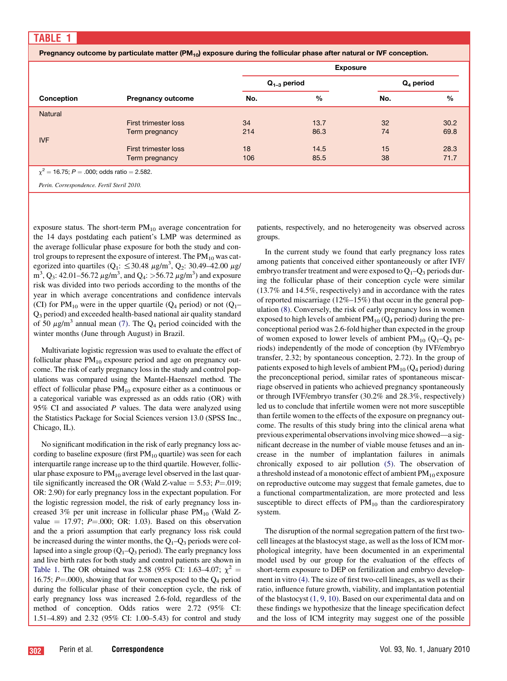Pregnancy outcome by particulate matter  $(PM_{10})$  exposure during the follicular phase after natural or IVF conception.

|                                                   |                             | <b>Exposure</b>  |      |              |      |
|---------------------------------------------------|-----------------------------|------------------|------|--------------|------|
|                                                   |                             | $Q_{1-3}$ period |      | $Q_4$ period |      |
| Conception                                        | <b>Pregnancy outcome</b>    | No.              | %    | No.          | $\%$ |
| <b>Natural</b>                                    |                             |                  |      |              |      |
|                                                   | <b>First trimester loss</b> | 34               | 13.7 | 32           | 30.2 |
|                                                   | Term pregnancy              | 214              | 86.3 | 74           | 69.8 |
| <b>IVF</b>                                        |                             |                  |      |              |      |
|                                                   | First trimester loss        | 18               | 14.5 | 15           | 28.3 |
|                                                   | Term pregnancy              | 106              | 85.5 | 38           | 71.7 |
| $\gamma^2$ = 16.75; P = .000; odds ratio = 2.582. |                             |                  |      |              |      |
| Perin. Correspondence. Fertil Steril 2010.        |                             |                  |      |              |      |

exposure status. The short-term  $PM_{10}$  average concentration for the 14 days postdating each patient's LMP was determined as the average follicular phase exposure for both the study and control groups to represent the exposure of interest. The  $PM_{10}$  was categorized into quartiles ( $Q_1$ :  $\leq$  30.48  $\mu$ g/m<sup>3</sup>,  $Q_2$ : 30.49–42.00  $\mu$ g/  $\text{m}^3$ , Q<sub>3</sub>: 42.01–56.72  $\mu\text{g/m}^3$ , and Q<sub>4</sub>: >56.72  $\mu\text{g/m}^3$ ) and exposure risk was divided into two periods according to the months of the year in which average concentrations and confidence intervals (CI) for PM<sub>10</sub> were in the upper quartile (Q<sub>4</sub> period) or not (Q<sub>1</sub>– Q3 period) and exceeded health-based national air quality standard of 50  $\mu$ g/m<sup>3</sup> annual mean [\(7\).](#page-2-0) The  $Q_4$  period coincided with the winter months (June through August) in Brazil.

Multivariate logistic regression was used to evaluate the effect of follicular phase  $PM_{10}$  exposure period and age on pregnancy outcome. The risk of early pregnancy loss in the study and control populations was compared using the Mantel-Haenszel method. The effect of follicular phase  $PM_{10}$  exposure either as a continuous or a categorical variable was expressed as an odds ratio (OR) with 95% CI and associated  $P$  values. The data were analyzed using the Statistics Package for Social Sciences version 13.0 (SPSS Inc., Chicago, IL).

No significant modification in the risk of early pregnancy loss according to baseline exposure (first  $PM_{10}$  quartile) was seen for each interquartile range increase up to the third quartile. However, follicular phase exposure to  $PM_{10}$  average level observed in the last quartile significantly increased the OR (Wald Z-value  $=$  5.53; P=.019; OR: 2.90) for early pregnancy loss in the expectant population. For the logistic regression model, the risk of early pregnancy loss increased 3% per unit increase in follicular phase  $PM_{10}$  (Wald Zvalue  $=$  17.97; P $=$ .000; OR: 1.03). Based on this observation and the a priori assumption that early pregnancy loss risk could be increased during the winter months, the  $Q_1-Q_3$  periods were collapsed into a single group  $(Q_1-Q_3 \text{ period})$ . The early pregnancy loss and live birth rates for both study and control patients are shown in Table 1. The OR obtained was 2.58 (95% CI: 1.63–4.07;  $\chi^2$  = 16.75;  $P = .000$ ), showing that for women exposed to the  $Q_4$  period during the follicular phase of their conception cycle, the risk of early pregnancy loss was increased 2.6-fold, regardless of the method of conception. Odds ratios were 2.72 (95% CI: 1.51–4.89) and 2.32 (95% CI: 1.00–5.43) for control and study patients, respectively, and no heterogeneity was observed across groups.

In the current study we found that early pregnancy loss rates among patients that conceived either spontaneously or after IVF/ embryo transfer treatment and were exposed to  $Q_1-Q_3$  periods during the follicular phase of their conception cycle were similar (13.7% and 14.5%, respectively) and in accordance with the rates of reported miscarriage (12%–15%) that occur in the general population [\(8\).](#page-2-0) Conversely, the risk of early pregnancy loss in women exposed to high levels of ambient  $PM_{10}$  ( $Q_4$  period) during the preconceptional period was 2.6-fold higher than expected in the group of women exposed to lower levels of ambient  $PM_{10}$  (Q<sub>1</sub>–Q<sub>3</sub> periods) independently of the mode of conception (by IVF/embryo transfer, 2.32; by spontaneous conception, 2.72). In the group of patients exposed to high levels of ambient  $PM_{10}$  ( $Q_4$  period) during the preconceptional period, similar rates of spontaneous miscarriage observed in patients who achieved pregnancy spontaneously or through IVF/embryo transfer (30.2% and 28.3%, respectively) led us to conclude that infertile women were not more susceptible than fertile women to the effects of the exposure on pregnancy outcome. The results of this study bring into the clinical arena what previous experimental observations involving mice showed—a significant decrease in the number of viable mouse fetuses and an increase in the number of implantation failures in animals chronically exposed to air pollution [\(5\)](#page-2-0). The observation of a threshold instead of a monotonic effect of ambient  $PM_{10}$  exposure on reproductive outcome may suggest that female gametes, due to a functional compartmentalization, are more protected and less susceptible to direct effects of  $PM_{10}$  than the cardiorespiratory system.

The disruption of the normal segregation pattern of the first twocell lineages at the blastocyst stage, as well as the loss of ICM morphological integrity, have been documented in an experimental model used by our group for the evaluation of the effects of short-term exposure to DEP on fertilization and embryo development in vitro [\(4\).](#page-2-0) The size of first two-cell lineages, as well as their ratio, influence future growth, viability, and implantation potential of the blastocyst [\(1, 9, 10\).](#page-2-0) Based on our experimental data and on these findings we hypothesize that the lineage specification defect and the loss of ICM integrity may suggest one of the possible